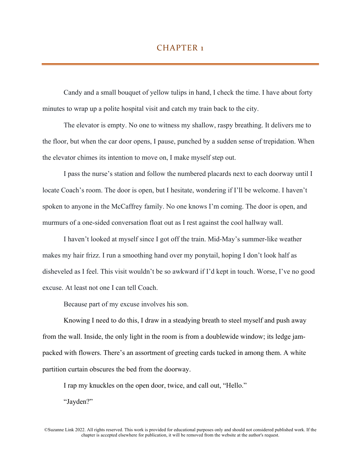## CHAPTER<sub>1</sub>

Candy and a small bouquet of yellow tulips in hand, I check the time. I have about forty minutes to wrap up a polite hospital visit and catch my train back to the city.

The elevator is empty. No one to witness my shallow, raspy breathing. It delivers me to the floor, but when the car door opens, I pause, punched by a sudden sense of trepidation. When the elevator chimes its intention to move on, I make myself step out.

I pass the nurse's station and follow the numbered placards next to each doorway until I locate Coach's room. The door is open, but I hesitate, wondering if I'll be welcome. I haven't spoken to anyone in the McCaffrey family. No one knows I'm coming. The door is open, and murmurs of a one-sided conversation float out as I rest against the cool hallway wall.

I haven't looked at myself since I got off the train. Mid-May's summer-like weather makes my hair frizz. I run a smoothing hand over my ponytail, hoping I don't look half as disheveled as I feel. This visit wouldn't be so awkward if I'd kept in touch. Worse, I've no good excuse. At least not one I can tell Coach.

Because part of my excuse involves his son.

Knowing I need to do this, I draw in a steadying breath to steel myself and push away from the wall. Inside, the only light in the room is from a doublewide window; its ledge jampacked with flowers. There's an assortment of greeting cards tucked in among them. A white partition curtain obscures the bed from the doorway.

I rap my knuckles on the open door, twice, and call out, "Hello."

"Jayden?"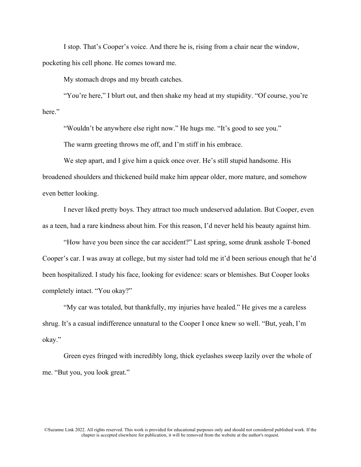I stop. That's Cooper's voice. And there he is, rising from a chair near the window, pocketing his cell phone. He comes toward me.

My stomach drops and my breath catches.

"You're here," I blurt out, and then shake my head at my stupidity. "Of course, you're here."

"Wouldn't be anywhere else right now." He hugs me. "It's good to see you."

The warm greeting throws me off, and I'm stiff in his embrace.

We step apart, and I give him a quick once over. He's still stupid handsome. His broadened shoulders and thickened build make him appear older, more mature, and somehow even better looking.

I never liked pretty boys. They attract too much undeserved adulation. But Cooper, even as a teen, had a rare kindness about him. For this reason, I'd never held his beauty against him.

"How have you been since the car accident?" Last spring, some drunk asshole T-boned Cooper's car. I was away at college, but my sister had told me it'd been serious enough that he'd been hospitalized. I study his face, looking for evidence: scars or blemishes. But Cooper looks completely intact. "You okay?"

"My car was totaled, but thankfully, my injuries have healed." He gives me a careless shrug. It's a casual indifference unnatural to the Cooper I once knew so well. "But, yeah, I'm okay."

Green eyes fringed with incredibly long, thick eyelashes sweep lazily over the whole of me. "But you, you look great."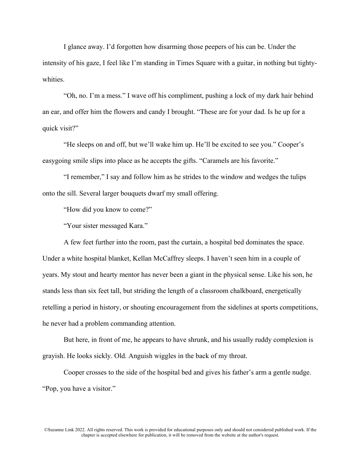I glance away. I'd forgotten how disarming those peepers of his can be. Under the intensity of his gaze, I feel like I'm standing in Times Square with a guitar, in nothing but tightywhities.

"Oh, no. I'm a mess." I wave off his compliment, pushing a lock of my dark hair behind an ear, and offer him the flowers and candy I brought. "These are for your dad. Is he up for a quick visit?"

"He sleeps on and off, but we'll wake him up. He'll be excited to see you." Cooper's easygoing smile slips into place as he accepts the gifts. "Caramels are his favorite."

"I remember," I say and follow him as he strides to the window and wedges the tulips onto the sill. Several larger bouquets dwarf my small offering.

"How did you know to come?"

"Your sister messaged Kara."

A few feet further into the room, past the curtain, a hospital bed dominates the space. Under a white hospital blanket, Kellan McCaffrey sleeps. I haven't seen him in a couple of years. My stout and hearty mentor has never been a giant in the physical sense. Like his son, he stands less than six feet tall, but striding the length of a classroom chalkboard, energetically retelling a period in history, or shouting encouragement from the sidelines at sports competitions, he never had a problem commanding attention.

But here, in front of me, he appears to have shrunk, and his usually ruddy complexion is grayish. He looks sickly. Old. Anguish wiggles in the back of my throat.

Cooper crosses to the side of the hospital bed and gives his father's arm a gentle nudge. "Pop, you have a visitor."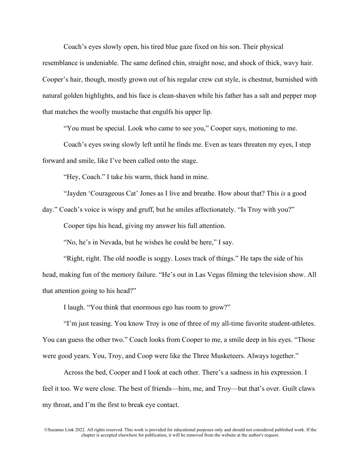Coach's eyes slowly open, his tired blue gaze fixed on his son. Their physical resemblance is undeniable. The same defined chin, straight nose, and shock of thick, wavy hair. Cooper's hair, though, mostly grown out of his regular crew cut style, is chestnut, burnished with natural golden highlights, and his face is clean-shaven while his father has a salt and pepper mop that matches the woolly mustache that engulfs his upper lip.

"You must be special. Look who came to see you," Cooper says, motioning to me.

Coach's eyes swing slowly left until he finds me. Even as tears threaten my eyes, I step forward and smile, like I've been called onto the stage.

"Hey, Coach." I take his warm, thick hand in mine.

"Jayden 'Courageous Cat' Jones as I live and breathe. How about that? This *is* a good

day." Coach's voice is wispy and gruff, but he smiles affectionately. "Is Troy with you?"

Cooper tips his head, giving my answer his full attention.

"No, he's in Nevada, but he wishes he could be here," I say.

"Right, right. The old noodle is soggy. Loses track of things." He taps the side of his head, making fun of the memory failure. "He's out in Las Vegas filming the television show. All that attention going to his head?"

I laugh. "You think that enormous ego has room to grow?"

"I'm just teasing. You know Troy is one of three of my all-time favorite student-athletes. You can guess the other two." Coach looks from Cooper to me, a smile deep in his eyes. "Those were good years. You, Troy, and Coop were like the Three Musketeers. Always together."

Across the bed, Cooper and I look at each other. There's a sadness in his expression. I feel it too. We were close. The best of friends—him, me, and Troy—but that's over. Guilt claws my throat, and I'm the first to break eye contact.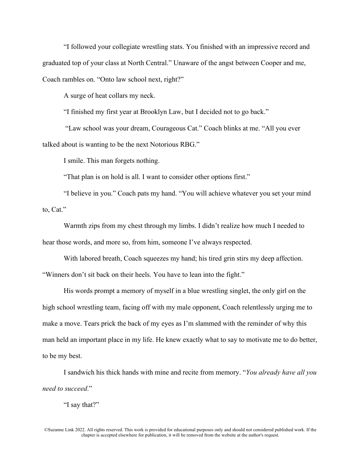"I followed your collegiate wrestling stats. You finished with an impressive record and graduated top of your class at North Central." Unaware of the angst between Cooper and me, Coach rambles on. "Onto law school next, right?"

A surge of heat collars my neck.

"I finished my first year at Brooklyn Law, but I decided not to go back."

"Law school was your dream, Courageous Cat." Coach blinks at me. "All you ever talked about is wanting to be the next Notorious RBG."

I smile. This man forgets nothing.

"That plan is on hold is all. I want to consider other options first."

"I believe in you." Coach pats my hand. "You will achieve whatever you set your mind to, Cat."

Warmth zips from my chest through my limbs. I didn't realize how much I needed to hear those words, and more so, from him, someone I've always respected.

With labored breath, Coach squeezes my hand; his tired grin stirs my deep affection. "Winners don't sit back on their heels. You have to lean into the fight."

His words prompt a memory of myself in a blue wrestling singlet, the only girl on the high school wrestling team, facing off with my male opponent, Coach relentlessly urging me to make a move. Tears prick the back of my eyes as I'm slammed with the reminder of why this man held an important place in my life. He knew exactly what to say to motivate me to do better, to be my best.

I sandwich his thick hands with mine and recite from memory. "*You already have all you need to succeed*."

"I say that?"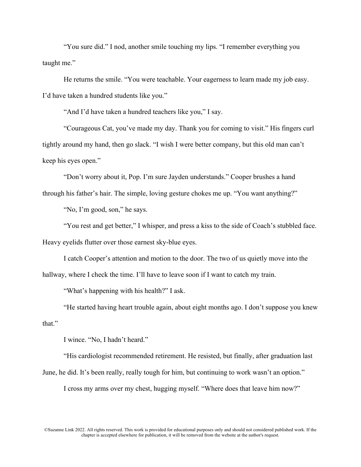"You sure did." I nod, another smile touching my lips. "I remember everything you taught me."

He returns the smile. "You were teachable. Your eagerness to learn made my job easy. I'd have taken a hundred students like you."

"And I'd have taken a hundred teachers like you," I say.

"Courageous Cat, you've made my day. Thank you for coming to visit." His fingers curl tightly around my hand, then go slack. "I wish I were better company, but this old man can't keep his eyes open."

"Don't worry about it, Pop. I'm sure Jayden understands." Cooper brushes a hand through his father's hair. The simple, loving gesture chokes me up. "You want anything?"

"No, I'm good, son," he says.

"You rest and get better," I whisper, and press a kiss to the side of Coach's stubbled face.

Heavy eyelids flutter over those earnest sky-blue eyes.

I catch Cooper's attention and motion to the door. The two of us quietly move into the hallway, where I check the time. I'll have to leave soon if I want to catch my train.

"What's happening with his health?" I ask.

"He started having heart trouble again, about eight months ago. I don't suppose you knew that."

I wince. "No, I hadn't heard."

"His cardiologist recommended retirement. He resisted, but finally, after graduation last June, he did. It's been really, really tough for him, but continuing to work wasn't an option."

I cross my arms over my chest, hugging myself. "Where does that leave him now?"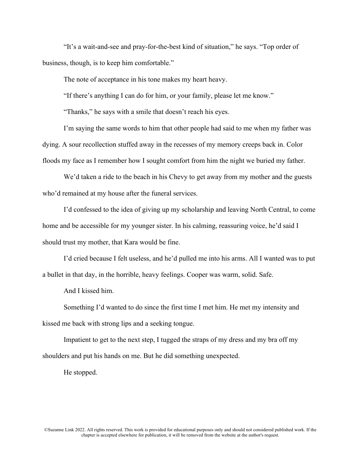"It's a wait-and-see and pray-for-the-best kind of situation," he says. "Top order of business, though, is to keep him comfortable."

The note of acceptance in his tone makes my heart heavy.

"If there's anything I can do for him, or your family, please let me know."

"Thanks," he says with a smile that doesn't reach his eyes.

I'm saying the same words to him that other people had said to me when my father was dying. A sour recollection stuffed away in the recesses of my memory creeps back in. Color floods my face as I remember how I sought comfort from him the night we buried my father.

We'd taken a ride to the beach in his Chevy to get away from my mother and the guests who'd remained at my house after the funeral services.

I'd confessed to the idea of giving up my scholarship and leaving North Central, to come home and be accessible for my younger sister. In his calming, reassuring voice, he'd said I should trust my mother, that Kara would be fine.

I'd cried because I felt useless, and he'd pulled me into his arms. All I wanted was to put a bullet in that day, in the horrible, heavy feelings. Cooper was warm, solid. Safe.

And I kissed him.

Something I'd wanted to do since the first time I met him. He met my intensity and kissed me back with strong lips and a seeking tongue.

Impatient to get to the next step, I tugged the straps of my dress and my bra off my shoulders and put his hands on me. But he did something unexpected.

He stopped.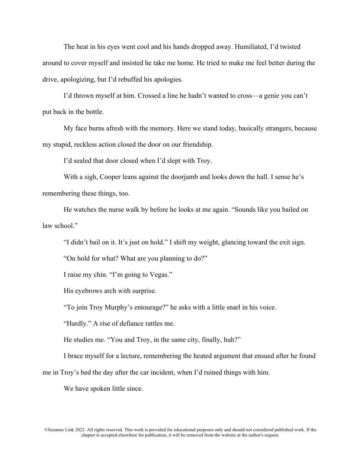The heat in his eyes went cool and his hands dropped away. Humiliated, I'd twisted around to cover myself and insisted he take me home. He tried to make me feel better during the drive, apologizing, but I'd rebuffed his apologies.

I'd thrown myself at him. Crossed a line he hadn't wanted to cross—a genie you can't put back in the bottle.

My face burns afresh with the memory. Here we stand today, basically strangers, because my stupid, reckless action closed the door on our friendship.

I'd sealed that door closed when I'd slept with Troy.

With a sigh, Cooper leans against the doorjamb and looks down the hall. I sense he's remembering these things, too.

He watches the nurse walk by before he looks at me again. "Sounds like you bailed on law school."

"I didn't bail on it. It's just on hold." I shift my weight, glancing toward the exit sign.

"On hold for what? What are you planning to do?"

I raise my chin. "I'm going to Vegas."

His eyebrows arch with surprise.

"To join Troy Murphy's entourage?" he asks with a little snarl in his voice.

"Hardly." A rise of defiance rattles me.

He studies me. "You and Troy, in the same city, finally, huh?"

I brace myself for a lecture, remembering the heated argument that ensued after he found

me in Troy's bed the day after the car incident, when I'd ruined things with him.

We have spoken little since.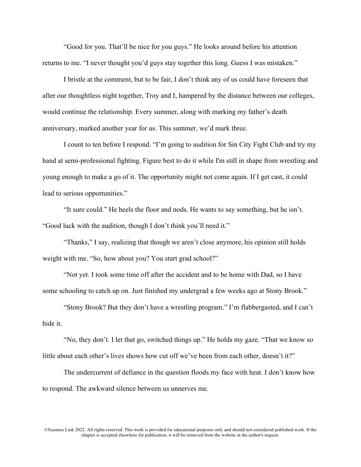"Good for you. That'll be nice for you guys." He looks around before his attention returns to me. "I never thought you'd guys stay together this long. Guess I was mistaken."

I bristle at the comment, but to be fair, I don't think any of us could have foreseen that after our thoughtless night together, Troy and I, hampered by the distance between our colleges, would continue the relationship. Every summer, along with marking my father's death anniversary, marked another year for us. This summer, we'd mark three.

I count to ten before I respond. "I'm going to audition for Sin City Fight Club and try my hand at semi-professional fighting. Figure best to do it while I'm still in shape from wrestling and young enough to make a go of it. The opportunity might not come again. If I get cast, it could lead to serious opportunities."

"It sure could." He heels the floor and nods. He wants to say something, but he isn't. "Good luck with the audition, though I don't think you'll need it."

"Thanks," I say, realizing that though we aren't close anymore, his opinion still holds weight with me. "So, how about you? You start grad school?"

"Not yet. I took some time off after the accident and to be home with Dad, so I have some schooling to catch up on. Just finished my undergrad a few weeks ago at Stony Brook."

"Stony Brook? But they don't have a wrestling program." I'm flabbergasted, and I can't hide it.

"No, they don't. I let that go, switched things up." He holds my gaze. "That we know so little about each other's lives shows how cut off we've been from each other, doesn't it?"

The undercurrent of defiance in the question floods my face with heat. I don't know how to respond. The awkward silence between us unnerves me.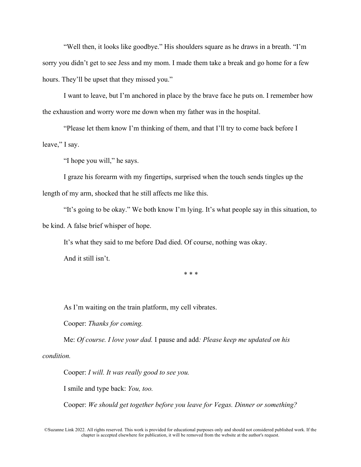"Well then, it looks like goodbye." His shoulders square as he draws in a breath. "I'm sorry you didn't get to see Jess and my mom. I made them take a break and go home for a few hours. They'll be upset that they missed you."

I want to leave, but I'm anchored in place by the brave face he puts on. I remember how the exhaustion and worry wore me down when my father was in the hospital.

"Please let them know I'm thinking of them, and that I'll try to come back before I leave," I say.

"I hope you will," he says.

I graze his forearm with my fingertips, surprised when the touch sends tingles up the length of my arm, shocked that he still affects me like this.

"It's going to be okay." We both know I'm lying. It's what people say in this situation, to be kind. A false brief whisper of hope.

It's what they said to me before Dad died. Of course, nothing was okay. And it still isn't.

\* \* \*

As I'm waiting on the train platform, my cell vibrates.

Cooper: *Thanks for coming.*

Me: *Of course. I love your dad.* I pause and add*: Please keep me updated on his condition.*

Cooper: *I will. It was really good to see you.*

I smile and type back: *You, too.*

Cooper: *We should get together before you leave for Vegas. Dinner or something?*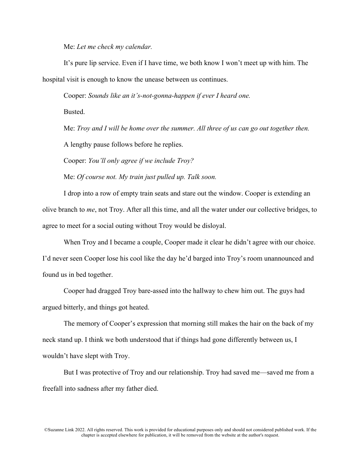Me: *Let me check my calendar.*

It's pure lip service. Even if I have time, we both know I won't meet up with him. The hospital visit is enough to know the unease between us continues.

Cooper: *Sounds like an it's-not-gonna-happen if ever I heard one.* 

Busted.

Me: *Troy and I will be home over the summer. All three of us can go out together then.*

A lengthy pause follows before he replies.

Cooper: *You'll only agree if we include Troy?*

Me: *Of course not. My train just pulled up. Talk soon.*

I drop into a row of empty train seats and stare out the window. Cooper is extending an olive branch to *me*, not Troy. After all this time, and all the water under our collective bridges, to agree to meet for a social outing without Troy would be disloyal.

When Troy and I became a couple, Cooper made it clear he didn't agree with our choice. I'd never seen Cooper lose his cool like the day he'd barged into Troy's room unannounced and found us in bed together.

Cooper had dragged Troy bare-assed into the hallway to chew him out. The guys had argued bitterly, and things got heated.

The memory of Cooper's expression that morning still makes the hair on the back of my neck stand up. I think we both understood that if things had gone differently between us, I wouldn't have slept with Troy.

But I was protective of Troy and our relationship. Troy had saved me—saved me from a freefall into sadness after my father died.